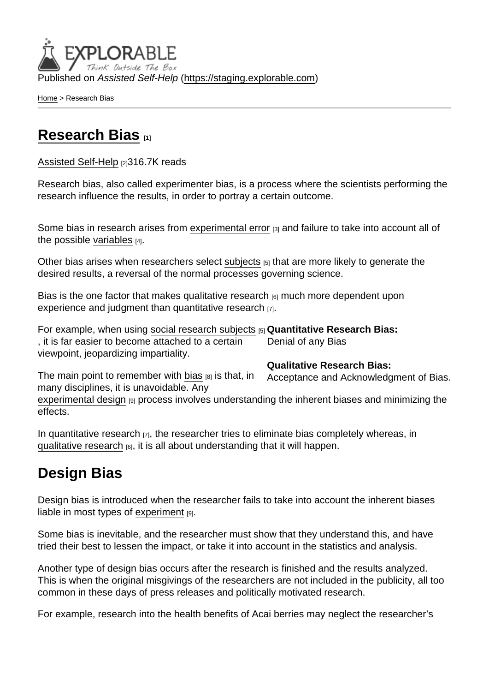Published on Assisted Self-Help [\(https://staging.explorable.com](https://staging.explorable.com))

[Home](https://staging.explorable.com/en) > Research Bias

## [Research Bias](https://staging.explorable.com/en/research-bias) [1]

[Assisted Self-Help](https://staging.explorable.com/en) [2]316.7K reads

Research bias, also called experimenter bias, is a process where the scientists performing the research influence the results, in order to portray a certain outcome.

Some bias in research arises from [experimental error](https://staging.explorable.com/experimental-error) [3] and failure to take into account all of the possible [variables](https://staging.explorable.com/research-variables)  $[4]$ .

Other bias arises when researchers select [subjects](https://staging.explorable.com/social-science-subjects) [5] that are more likely to generate the desired results, a reversal of the normal processes governing science.

Bias is the one factor that makes [qualitative research](https://staging.explorable.com/qualitative-research-design) <sub>[6]</sub> much more dependent upon experience and judgment than [quantitative research](https://staging.explorable.com/quantitative-research-design) [7].

For example, when using [social research subjects](https://staging.explorable.com/social-science-subjects) [5] Quantitative Research Bias: Denial of any Bias , it is far easier to become attached to a certain viewpoint, jeopardizing impartiality.

Qualitative Research Bias:

The main point to remember with [bias](http://tigger.uic.edu/~lwbenn/jacswcourses/socw360/week14.htm)  $[8]$  is that, in many disciplines, it is unavoidable. Any

Acceptance and Acknowledgment of Bias.

[experimental design](https://staging.explorable.com/experimental-research) [9] process involves understanding the inherent biases and minimizing the effects.

In [quantitative research](https://staging.explorable.com/quantitative-research-design)  $_{[7]}$ , the researcher tries to eliminate bias completely whereas, in [qualitative research](https://staging.explorable.com/qualitative-research-design)  $[6]$ , it is all about understanding that it will happen.

# Design Bias

Design bias is introduced when the researcher fails to take into account the inherent biases liable in most types of [experiment](https://staging.explorable.com/experimental-research) [9].

Some bias is inevitable, and the researcher must show that they understand this, and have tried their best to lessen the impact, or take it into account in the statistics and analysis.

Another type of design bias occurs after the research is finished and the results analyzed. This is when the original misgivings of the researchers are not included in the publicity, all too common in these days of press releases and politically motivated research.

For example, research into the health benefits of Acai berries may neglect the researcher's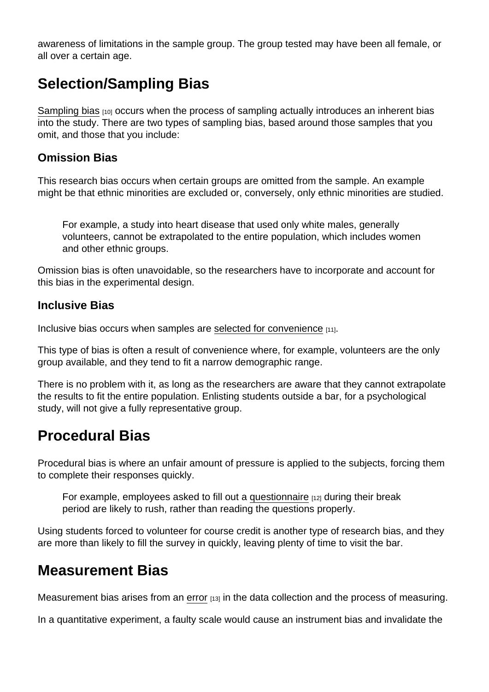awareness of limitations in the sample group. The group tested may have been all female, or all over a certain age.

## Selection/Sampling Bias

[Sampling bias](https://staging.explorable.com/sampling-error) [10] occurs when the process of sampling actually introduces an inherent bias into the study. There are two types of sampling bias, based around those samples that you omit, and those that you include:

#### Omission Bias

This research bias occurs when certain groups are omitted from the sample. An example might be that ethnic minorities are excluded or, conversely, only ethnic minorities are studied.

For example, a study into heart disease that used only white males, generally volunteers, cannot be extrapolated to the entire population, which includes women and other ethnic groups.

Omission bias is often unavoidable, so the researchers have to incorporate and account for this bias in the experimental design.

Inclusive Bias

Inclusive bias occurs when samples are [selected for convenience](https://staging.explorable.com/convenience-sampling) [11].

This type of bias is often a result of convenience where, for example, volunteers are the only group available, and they tend to fit a narrow demographic range.

There is no problem with it, as long as the researchers are aware that they cannot extrapolate the results to fit the entire population. Enlisting students outside a bar, for a psychological study, will not give a fully representative group.

## Procedural Bias

Procedural bias is where an unfair amount of pressure is applied to the subjects, forcing them to complete their responses quickly.

For example, employees asked to fill out a [questionnaire](https://staging.explorable.com/survey-research-design) [12] during their break period are likely to rush, rather than reading the questions properly.

Using students forced to volunteer for course credit is another type of research bias, and they are more than likely to fill the survey in quickly, leaving plenty of time to visit the bar.

#### Measurement Bias

Measurement bias arises from an [error](https://staging.explorable.com/systematic-error)  $[13]$  in the data collection and the process of measuring.

In a quantitative experiment, a faulty scale would cause an instrument bias and invalidate the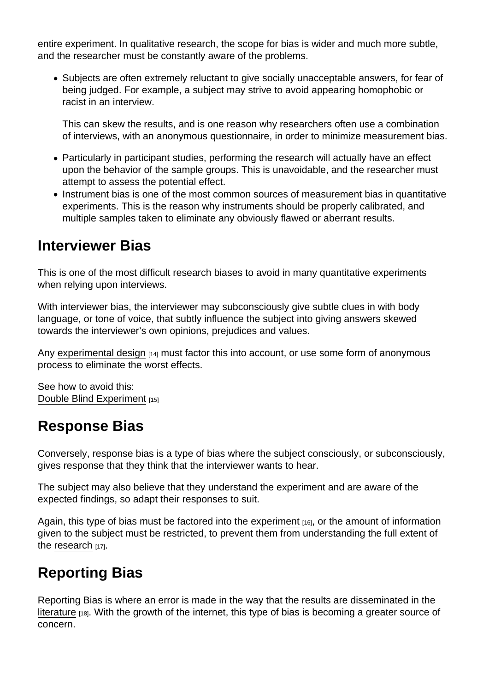entire experiment. In qualitative research, the scope for bias is wider and much more subtle, and the researcher must be constantly aware of the problems.

Subjects are often extremely reluctant to give socially unacceptable answers, for fear of being judged. For example, a subject may strive to avoid appearing homophobic or racist in an interview.

This can skew the results, and is one reason why researchers often use a combination of interviews, with an anonymous questionnaire, in order to minimize measurement bias.

- Particularly in participant studies, performing the research will actually have an effect upon the behavior of the sample groups. This is unavoidable, and the researcher must attempt to assess the potential effect.
- Instrument bias is one of the most common sources of measurement bias in quantitative experiments. This is the reason why instruments should be properly calibrated, and multiple samples taken to eliminate any obviously flawed or aberrant results.

#### Interviewer Bias

This is one of the most difficult research biases to avoid in many quantitative experiments when relying upon interviews.

With interviewer bias, the interviewer may subconsciously give subtle clues in with body language, or tone of voice, that subtly influence the subject into giving answers skewed towards the interviewer's own opinions, prejudices and values.

Any [experimental design](https://staging.explorable.com/design-of-experiment)  $[14]$  must factor this into account, or use some form of anonymous process to eliminate the worst effects.

See how to avoid this: [Double Blind Experiment](https://staging.explorable.com/double-blind-experiment) [15]

## Response Bias

Conversely, response bias is a type of bias where the subject consciously, or subconsciously, gives response that they think that the interviewer wants to hear.

The subject may also believe that they understand the experiment and are aware of the expected findings, so adapt their responses to suit.

Again, this type of bias must be factored into the [experiment](https://staging.explorable.com/conducting-an-experiment)  $[16]$ , or the amount of information given to the subject must be restricted, to prevent them from understanding the full extent of the [research](https://staging.explorable.com/what-is-research) [17].

# Reporting Bias

Reporting Bias is where an error is made in the way that the results are disseminated in the [literature](https://staging.explorable.com/what-is-a-literature-review) [18]. With the growth of the internet, this type of bias is becoming a greater source of concern.